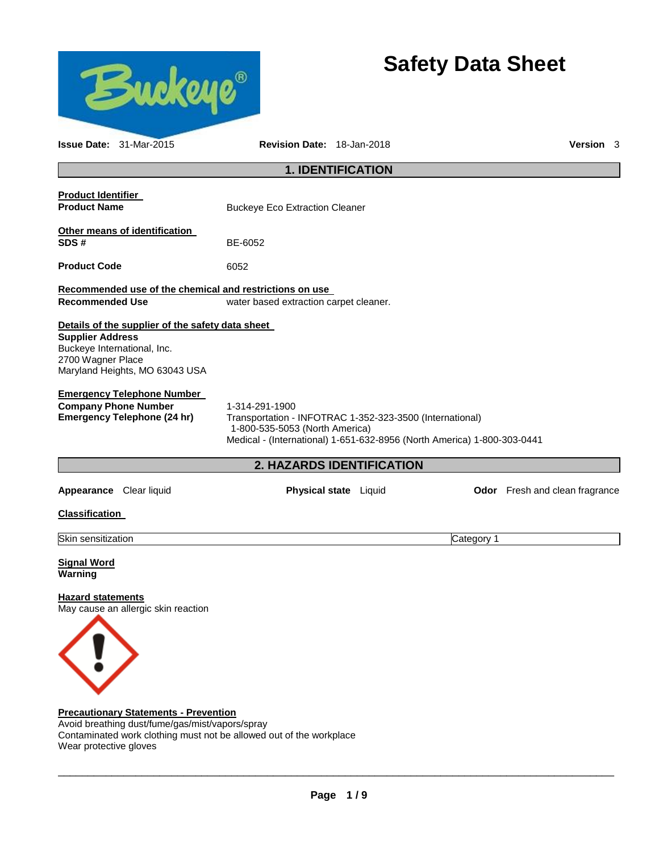

Avoid breathing dust/fume/gas/mist/vapors/spray Contaminated work clothing must not be allowed out of the workplace Wear protective gloves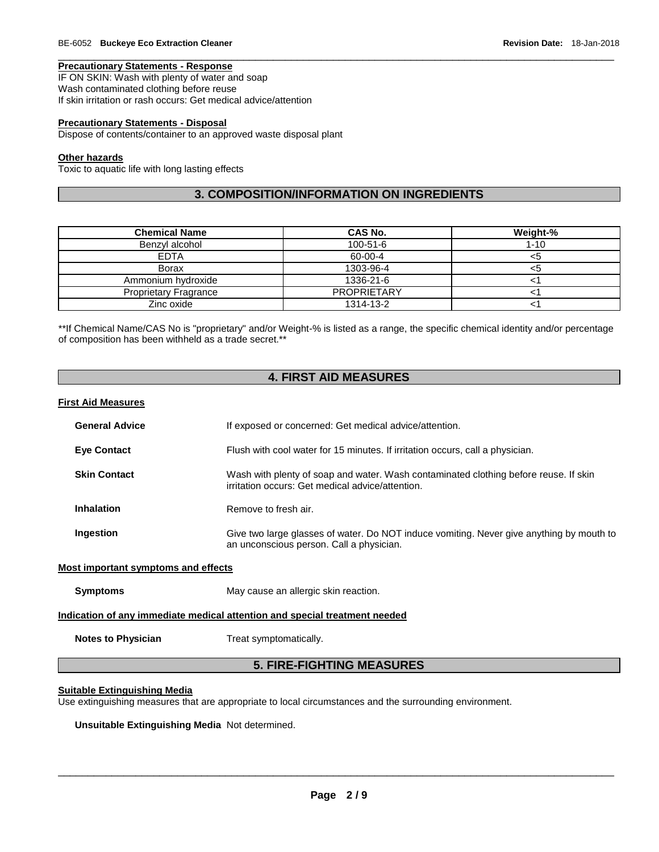# **Precautionary Statements - Response**

IF ON SKIN: Wash with plenty of water and soap Wash contaminated clothing before reuse If skin irritation or rash occurs: Get medical advice/attention

# **Precautionary Statements - Disposal**

Dispose of contents/container to an approved waste disposal plant

#### **Other hazards**

Toxic to aquatic life with long lasting effects

# **3. COMPOSITION/INFORMATION ON INGREDIENTS**

\_\_\_\_\_\_\_\_\_\_\_\_\_\_\_\_\_\_\_\_\_\_\_\_\_\_\_\_\_\_\_\_\_\_\_\_\_\_\_\_\_\_\_\_\_\_\_\_\_\_\_\_\_\_\_\_\_\_\_\_\_\_\_\_\_\_\_\_\_\_\_\_\_\_\_\_\_\_\_\_\_\_\_\_\_\_\_\_\_\_\_\_\_

| <b>Chemical Name</b>         | CAS No.            | Weight-% |
|------------------------------|--------------------|----------|
| Benzyl alcohol               | $100 - 51 - 6$     | $1 - 10$ |
| <b>EDTA</b>                  | 60-00-4            | <5       |
| <b>Borax</b>                 | 1303-96-4          | <ວ       |
| Ammonium hydroxide           | 1336-21-6          |          |
| <b>Proprietary Fragrance</b> | <b>PROPRIETARY</b> |          |
| Zinc oxide                   | 1314-13-2          |          |

\*\*If Chemical Name/CAS No is "proprietary" and/or Weight-% is listed as a range, the specific chemical identity and/or percentage of composition has been withheld as a trade secret.\*\*

# **4. FIRST AID MEASURES**

### **First Aid Measures**

| <b>General Advice</b>                                                      | If exposed or concerned: Get medical advice/attention.                                                                                   |  |
|----------------------------------------------------------------------------|------------------------------------------------------------------------------------------------------------------------------------------|--|
| <b>Eye Contact</b>                                                         | Flush with cool water for 15 minutes. If irritation occurs, call a physician.                                                            |  |
| <b>Skin Contact</b>                                                        | Wash with plenty of soap and water. Wash contaminated clothing before reuse. If skin<br>irritation occurs: Get medical advice/attention. |  |
| <b>Inhalation</b>                                                          | Remove to fresh air.                                                                                                                     |  |
| Ingestion                                                                  | Give two large glasses of water. Do NOT induce vomiting. Never give anything by mouth to<br>an unconscious person. Call a physician.     |  |
| Most important symptoms and effects                                        |                                                                                                                                          |  |
| <b>Symptoms</b>                                                            | May cause an allergic skin reaction.                                                                                                     |  |
| Indication of any immediate medical attention and special treatment needed |                                                                                                                                          |  |
| <b>Notes to Physician</b>                                                  | Treat symptomatically.                                                                                                                   |  |
| <b>5. FIRE-FIGHTING MEASURES</b>                                           |                                                                                                                                          |  |

#### **Suitable Extinguishing Media**

Use extinguishing measures that are appropriate to local circumstances and the surrounding environment.

**Unsuitable Extinguishing Media** Not determined.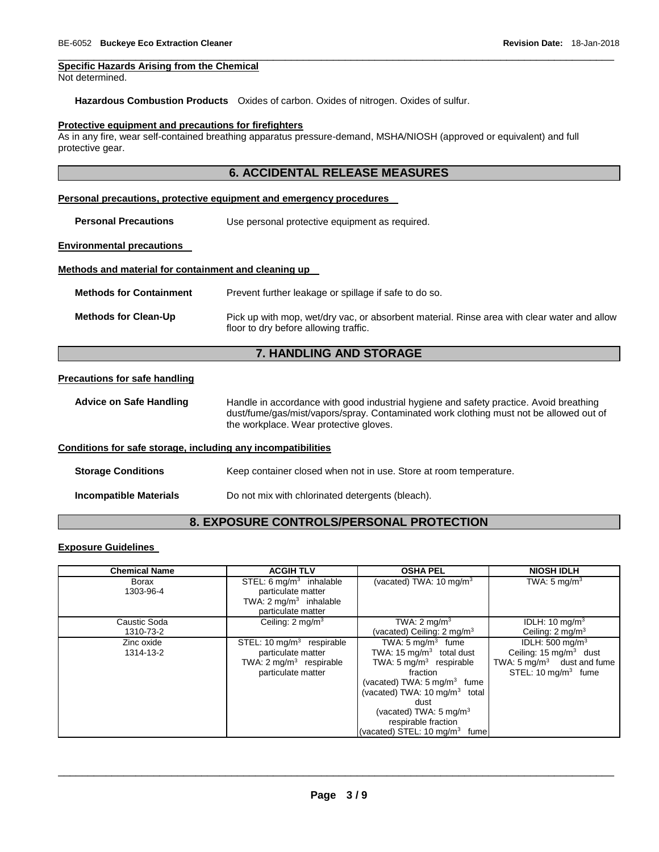#### **Specific Hazards Arising from the Chemical**

Not determined.

**Hazardous Combustion Products** Oxides of carbon. Oxides of nitrogen. Oxides of sulfur.

#### **Protective equipment and precautions for firefighters**

As in any fire, wear self-contained breathing apparatus pressure-demand, MSHA/NIOSH (approved or equivalent) and full protective gear.

# **6. ACCIDENTAL RELEASE MEASURES**

\_\_\_\_\_\_\_\_\_\_\_\_\_\_\_\_\_\_\_\_\_\_\_\_\_\_\_\_\_\_\_\_\_\_\_\_\_\_\_\_\_\_\_\_\_\_\_\_\_\_\_\_\_\_\_\_\_\_\_\_\_\_\_\_\_\_\_\_\_\_\_\_\_\_\_\_\_\_\_\_\_\_\_\_\_\_\_\_\_\_\_\_\_

#### **Personal precautions, protective equipment and emergency procedures**

**Personal Precautions Use personal protective equipment as required.** 

#### **Environmental precautions**

### **Methods and material for containment and cleaning up**

**Methods for Containment** Prevent further leakage or spillage if safe to do so.

**Methods for Clean-Up** Pick up with mop, wet/dry vac, or absorbent material. Rinse area with clear water and allow floor to dry before allowing traffic.

# **7. HANDLING AND STORAGE**

#### **Precautions for safe handling**

**Advice on Safe Handling** Handle in accordance with good industrial hygiene and safety practice. Avoid breathing dust/fume/gas/mist/vapors/spray. Contaminated work clothing must not be allowed out of the workplace. Wear protective gloves.

#### **Conditions for safe storage, including any incompatibilities**

**Storage Conditions Keep container closed when not in use. Store at room temperature.** 

**Incompatible Materials Do not mix with chlorinated detergents (bleach).** 

# **8. EXPOSURE CONTROLS/PERSONAL PROTECTION**

#### **Exposure Guidelines**

| <b>Chemical Name</b> | <b>ACGIH TLV</b>                   | <b>OSHA PEL</b>                             | <b>NIOSH IDLH</b>                     |
|----------------------|------------------------------------|---------------------------------------------|---------------------------------------|
| Borax                | STEL: $6 \text{ mg/m}^3$ inhalable | (vacated) TWA: $10 \text{ mg/m}^3$          | TWA: $5 \text{ mg/m}^3$               |
| 1303-96-4            | particulate matter                 |                                             |                                       |
|                      | TWA: $2 \text{ mg/m}^3$ inhalable  |                                             |                                       |
|                      | particulate matter                 |                                             |                                       |
| Caustic Soda         | Ceiling: $2 \text{ mg/m}^3$        | TWA: $2 \text{ mq/m}^3$                     | IDLH: $10 \text{ mg/m}^3$             |
| 1310-73-2            |                                    | (vacated) Ceiling: $2 \text{ mg/m}^3$       | Ceiling: $2 \text{ mg/m}^3$           |
| Zinc oxide           | STEL: 10 $mg/m3$ respirable        | TWA: $5 \text{ mg/m}^3$ fume                | IDLH: $500 \text{ mg/m}^3$            |
| 1314-13-2            | particulate matter                 | TWA: 15 $mq/m3$ total dust                  | Ceiling: $15 \text{ mg/m}^3$ dust     |
|                      | TWA: $2 \text{ mg/m}^3$ respirable | TWA: $5 \text{ mg/m}^3$ respirable          | TWA: $5 \text{ mg/m}^3$ dust and fume |
|                      | particulate matter                 | fraction                                    | STEL: $10 \text{ mg/m}^3$ fume        |
|                      |                                    | (vacated) TWA: $5 \text{ mg/m}^3$ fume      |                                       |
|                      |                                    | (vacated) TWA: $10 \,\mathrm{mq/m^3}$ total |                                       |
|                      |                                    | dust                                        |                                       |
|                      |                                    | (vacated) TWA: $5 \text{ mg/m}^3$           |                                       |
|                      |                                    | respirable fraction                         |                                       |
|                      |                                    | (vacated) STEL: $10 \text{ mg/m}^3$ fume    |                                       |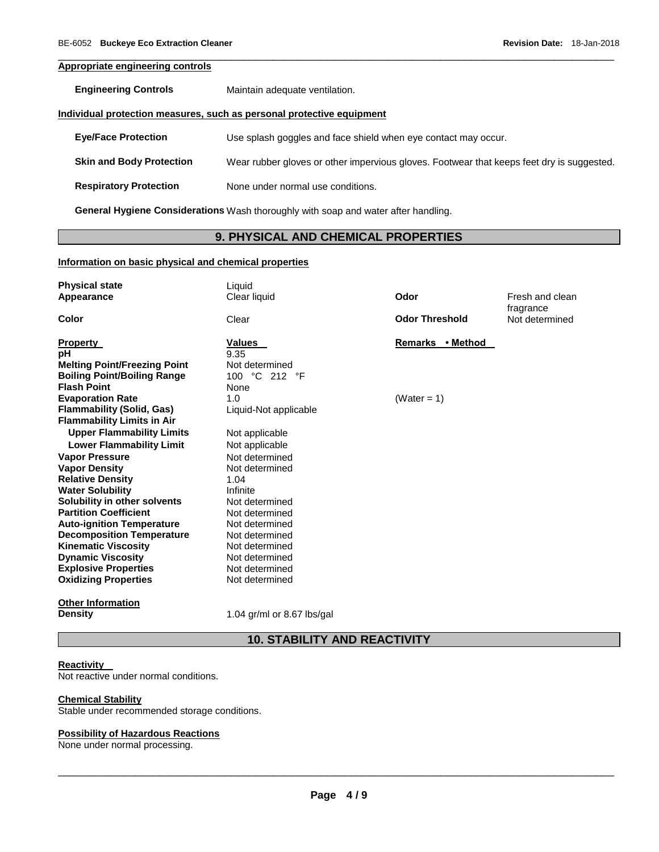# **Appropriate engineering controls**

**Engineering Controls** Maintain adequate ventilation.

## **Individual protection measures, such as personal protective equipment**

**Eye/Face Protection** Use splash goggles and face shield when eye contact may occur.

**Skin and Body Protection** Wear rubber gloves or other impervious gloves. Footwear that keeps feet dry is suggested.

\_\_\_\_\_\_\_\_\_\_\_\_\_\_\_\_\_\_\_\_\_\_\_\_\_\_\_\_\_\_\_\_\_\_\_\_\_\_\_\_\_\_\_\_\_\_\_\_\_\_\_\_\_\_\_\_\_\_\_\_\_\_\_\_\_\_\_\_\_\_\_\_\_\_\_\_\_\_\_\_\_\_\_\_\_\_\_\_\_\_\_\_\_

**Respiratory Protection** None under normal use conditions.

**General Hygiene Considerations** Wash thoroughly with soap and water after handling.

# **9. PHYSICAL AND CHEMICAL PROPERTIES**

## **Information on basic physical and chemical properties**

| <b>Physical state</b><br>Appearance                          | Liquid<br>Clear liquid     | Odor                  | Fresh and clean             |
|--------------------------------------------------------------|----------------------------|-----------------------|-----------------------------|
| Color                                                        | Clear                      | <b>Odor Threshold</b> | fragrance<br>Not determined |
| <b>Property</b><br>рH                                        | <b>Values</b><br>9.35      | Remarks • Method      |                             |
| <b>Melting Point/Freezing Point</b>                          | Not determined             |                       |                             |
| <b>Boiling Point/Boiling Range</b><br><b>Flash Point</b>     | 100 °C 212 °F              |                       |                             |
| <b>Evaporation Rate</b>                                      | None<br>1.0                | (Water = $1$ )        |                             |
| <b>Flammability (Solid, Gas)</b>                             | Liquid-Not applicable      |                       |                             |
| <b>Flammability Limits in Air</b>                            |                            |                       |                             |
| <b>Upper Flammability Limits</b>                             | Not applicable             |                       |                             |
| <b>Lower Flammability Limit</b>                              | Not applicable             |                       |                             |
| <b>Vapor Pressure</b>                                        | Not determined             |                       |                             |
| <b>Vapor Density</b>                                         | Not determined             |                       |                             |
| <b>Relative Density</b>                                      | 1.04                       |                       |                             |
| <b>Water Solubility</b>                                      | Infinite<br>Not determined |                       |                             |
| Solubility in other solvents<br><b>Partition Coefficient</b> | Not determined             |                       |                             |
| <b>Auto-ignition Temperature</b>                             | Not determined             |                       |                             |
| <b>Decomposition Temperature</b>                             | Not determined             |                       |                             |
| <b>Kinematic Viscosity</b>                                   | Not determined             |                       |                             |
| <b>Dynamic Viscosity</b>                                     | Not determined             |                       |                             |
| <b>Explosive Properties</b>                                  | Not determined             |                       |                             |
| <b>Oxidizing Properties</b>                                  | Not determined             |                       |                             |
| <b>Other Information</b>                                     |                            |                       |                             |
| <b>Density</b>                                               | 1.04 gr/ml or 8.67 lbs/gal |                       |                             |

# **10. STABILITY AND REACTIVITY**

# **Reactivity**

Not reactive under normal conditions.

#### **Chemical Stability**

Stable under recommended storage conditions.

## **Possibility of Hazardous Reactions**

None under normal processing.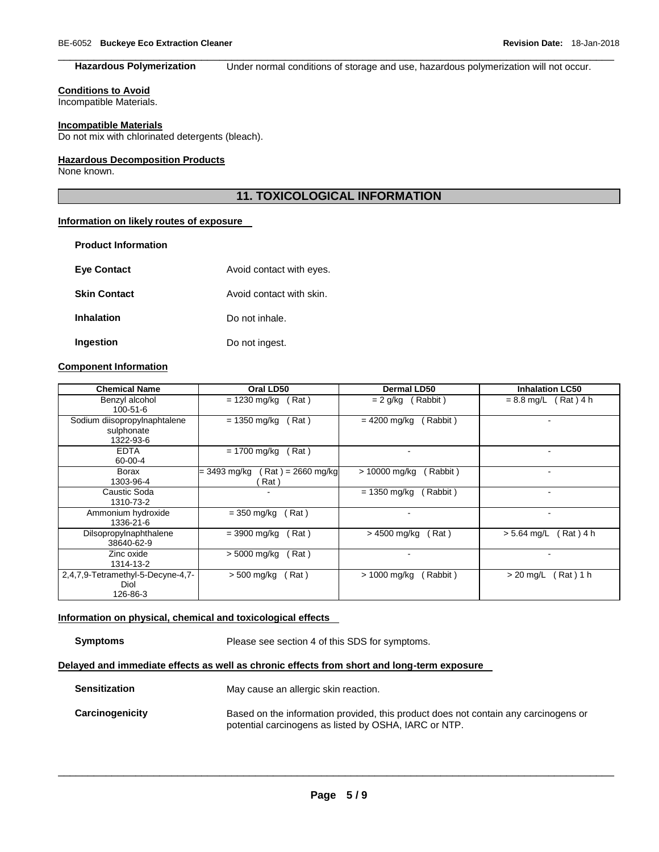\_\_\_\_\_\_\_\_\_\_\_\_\_\_\_\_\_\_\_\_\_\_\_\_\_\_\_\_\_\_\_\_\_\_\_\_\_\_\_\_\_\_\_\_\_\_\_\_\_\_\_\_\_\_\_\_\_\_\_\_\_\_\_\_\_\_\_\_\_\_\_\_\_\_\_\_\_\_\_\_\_\_\_\_\_\_\_\_\_\_\_\_\_ **Hazardous Polymerization** Under normal conditions of storage and use, hazardous polymerization will not occur.

## **Conditions to Avoid**

Incompatible Materials.

## **Incompatible Materials**

Do not mix with chlorinated detergents (bleach).

# **Hazardous Decomposition Products**

None known.

# **11. TOXICOLOGICAL INFORMATION**

## **Information on likely routes of exposure**

| <b>Product Information</b> |                          |
|----------------------------|--------------------------|
| <b>Eye Contact</b>         | Avoid contact with eyes. |
| <b>Skin Contact</b>        | Avoid contact with skin. |
| <b>Inhalation</b>          | Do not inhale.           |
| <b>Ingestion</b>           | Do not ingest.           |

# **Component Information**

| <b>Chemical Name</b>                                    |                         | Oral LD50                  | <b>Dermal LD50</b>         | <b>Inhalation LC50</b>     |
|---------------------------------------------------------|-------------------------|----------------------------|----------------------------|----------------------------|
| Benzyl alcohol<br>100-51-6                              | (Rat)<br>$= 1230$ mg/kg |                            | (Rabbit)<br>$= 2$ g/kg     | $= 8.8$ mg/L (Rat) 4 h     |
| Sodium diisopropylnaphtalene<br>sulphonate<br>1322-93-6 | $= 1350$ mg/kg<br>Rat)  |                            | $= 4200$ mg/kg<br>(Rabbit) |                            |
| <b>EDTA</b><br>60-00-4                                  | $= 1700$ mg/kg          | Rat)                       |                            |                            |
| <b>Borax</b><br>1303-96-4                               | = 3493 mg/kg            | (Rat) = 2660 mg/kg<br>Rat) | > 10000 mg/kg<br>Rabbit)   | $\overline{\phantom{a}}$   |
| Caustic Soda<br>1310-73-2                               |                         |                            | (Rabbit)<br>= 1350 mg/kg   | ۰                          |
| Ammonium hydroxide<br>1336-21-6                         | $=$ 350 mg/kg           | Rat)                       | ٠                          | $\overline{\phantom{a}}$   |
| Dilsopropylnaphthalene<br>38640-62-9                    | $= 3900$ mg/kg<br>(Rat) |                            | > 4500 mg/kg<br>(Rat)      | $> 5.64$ mg/L<br>Rat ) 4 h |
| Zinc oxide<br>1314-13-2                                 | > 5000 mg/kg            | Rat)                       |                            |                            |
| 2,4,7,9-Tetramethyl-5-Decyne-4,7-<br>Diol<br>126-86-3   | $> 500$ mg/kg           | Rat)                       | > 1000 mg/kg<br>(Rabbit)   | $> 20$ mg/L<br>Rat ) 1 h   |

## **Information on physical, chemical and toxicological effects**

**Symptoms** Please see section 4 of this SDS for symptoms.

# **Delayed and immediate effects as well as chronic effects from short and long-term exposure**

| Sensitization   | May cause an allergic skin reaction.                                                                                                         |
|-----------------|----------------------------------------------------------------------------------------------------------------------------------------------|
| Carcinogenicity | Based on the information provided, this product does not contain any carcinogens or<br>potential carcinogens as listed by OSHA, IARC or NTP. |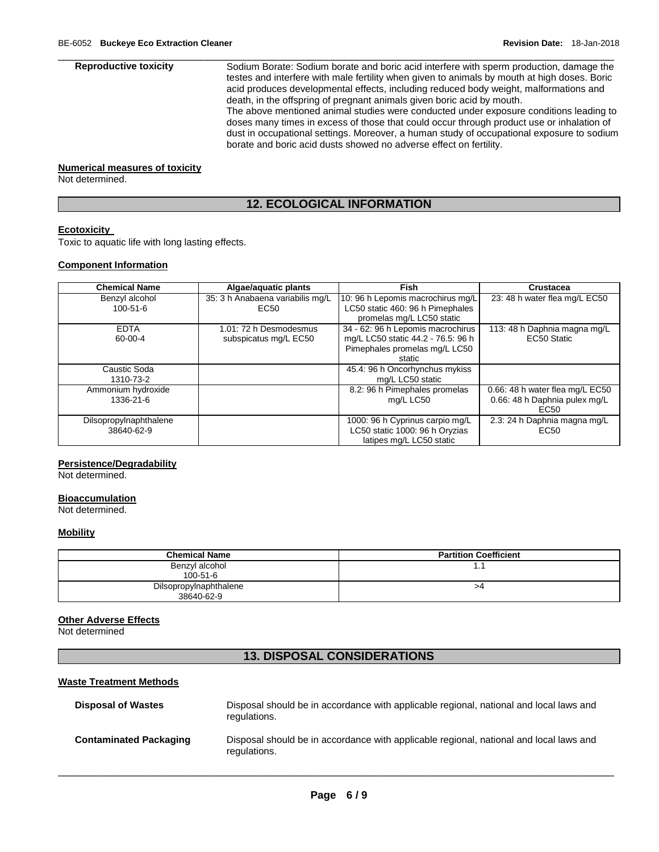**Reproductive toxicity** Sodium Borate: Sodium borate and boric acid interfere with sperm production, damage the testes and interfere with male fertility when given to animals by mouth at high doses. Boric acid produces developmental effects, including reduced body weight, malformations and death, in the offspring of pregnant animals given boric acid by mouth.

> The above mentioned animal studies were conducted under exposure conditions leading to doses many times in excess of those that could occur through product use or inhalation of dust in occupational settings. Moreover, a human study of occupational exposure to sodium borate and boric acid dusts showed no adverse effect on fertility.

#### **Numerical measures of toxicity**

Not determined.

# **12. ECOLOGICAL INFORMATION**

\_\_\_\_\_\_\_\_\_\_\_\_\_\_\_\_\_\_\_\_\_\_\_\_\_\_\_\_\_\_\_\_\_\_\_\_\_\_\_\_\_\_\_\_\_\_\_\_\_\_\_\_\_\_\_\_\_\_\_\_\_\_\_\_\_\_\_\_\_\_\_\_\_\_\_\_\_\_\_\_\_\_\_\_\_\_\_\_\_\_\_\_\_

## **Ecotoxicity**

Toxic to aquatic life with long lasting effects.

# **Component Information**

| <b>Chemical Name</b>             | Algae/aquatic plants                                 | <b>Fish</b>                                                           | Crustacea                       |
|----------------------------------|------------------------------------------------------|-----------------------------------------------------------------------|---------------------------------|
| Benzyl alcohol<br>$100 - 51 - 6$ | 35: 3 h Anabaena variabilis mg/L<br>EC <sub>50</sub> | 10: 96 h Lepomis macrochirus mg/L<br>LC50 static 460: 96 h Pimephales | 23: 48 h water flea mg/L EC50   |
|                                  |                                                      | promelas mg/L LC50 static                                             |                                 |
| <b>EDTA</b>                      | 1.01: 72 h Desmodesmus                               | 34 - 62: 96 h Lepomis macrochirus                                     | 113: 48 h Daphnia magna mg/L    |
| 60-00-4                          | subspicatus mg/L EC50                                | mg/L LC50 static 44.2 - 76.5: 96 h                                    | EC50 Static                     |
|                                  |                                                      | Pimephales promelas mg/L LC50                                         |                                 |
|                                  |                                                      | static                                                                |                                 |
| Caustic Soda                     |                                                      | 45.4: 96 h Oncorhynchus mykiss                                        |                                 |
| 1310-73-2                        |                                                      | mg/L LC50 static                                                      |                                 |
| Ammonium hydroxide               |                                                      | 8.2: 96 h Pimephales promelas                                         | 0.66: 48 h water flea mg/L EC50 |
| 1336-21-6                        |                                                      | mg/L LC50                                                             | 0.66: 48 h Daphnia pulex mg/L   |
|                                  |                                                      |                                                                       | EC50                            |
| Dilsopropylnaphthalene           |                                                      | 1000: 96 h Cyprinus carpio mg/L                                       | 2.3: 24 h Daphnia magna mg/L    |
| 38640-62-9                       |                                                      | LC50 static 1000: 96 h Oryzias                                        | EC50                            |
|                                  |                                                      | latipes mg/L LC50 static                                              |                                 |

## **Persistence/Degradability**

Not determined.

### **Bioaccumulation**

Not determined.

# **Mobility**

| <b>Chemical Name</b>   | <b>Partition Coefficient</b> |
|------------------------|------------------------------|
| Benzyl alcohol         | . .                          |
| $100 - 51 - 6$         |                              |
| Dilsopropylnaphthalene | >4                           |
| 38640-62-9             |                              |

#### **Other Adverse Effects**

Not determined

# **13. DISPOSAL CONSIDERATIONS**

#### **Waste Treatment Methods**

| <b>Disposal of Wastes</b>     | Disposal should be in accordance with applicable regional, national and local laws and<br>regulations. |
|-------------------------------|--------------------------------------------------------------------------------------------------------|
| <b>Contaminated Packaging</b> | Disposal should be in accordance with applicable regional, national and local laws and<br>regulations. |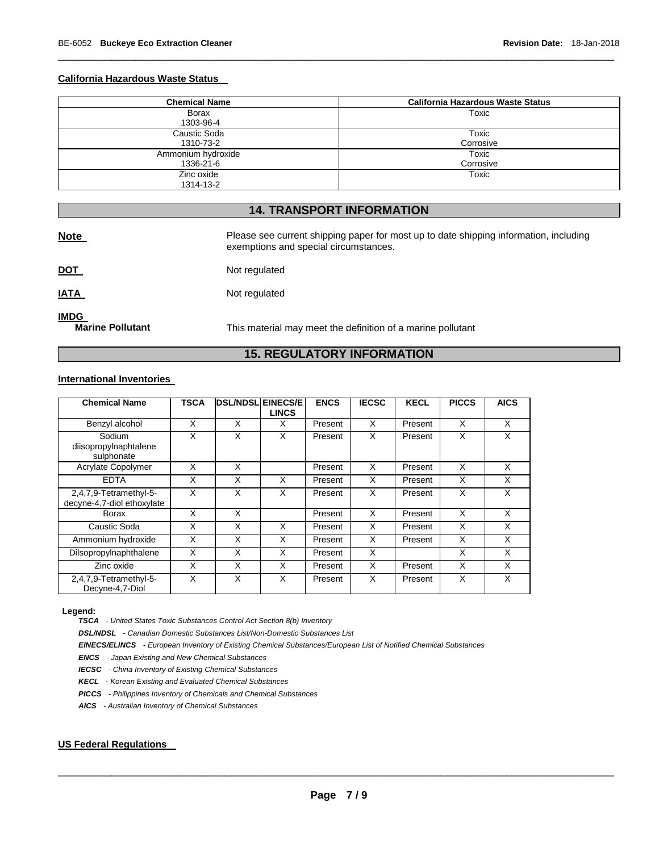## **California Hazardous Waste Status**

| <b>Chemical Name</b> | <b>California Hazardous Waste Status</b> |
|----------------------|------------------------------------------|
| Borax                | Toxic                                    |
| 1303-96-4            |                                          |
| Caustic Soda         | Toxic                                    |
| 1310-73-2            | Corrosive                                |
| Ammonium hydroxide   | Toxic                                    |
| 1336-21-6            | Corrosive                                |
| Zinc oxide           | Toxic                                    |
| 1314-13-2            |                                          |

\_\_\_\_\_\_\_\_\_\_\_\_\_\_\_\_\_\_\_\_\_\_\_\_\_\_\_\_\_\_\_\_\_\_\_\_\_\_\_\_\_\_\_\_\_\_\_\_\_\_\_\_\_\_\_\_\_\_\_\_\_\_\_\_\_\_\_\_\_\_\_\_\_\_\_\_\_\_\_\_\_\_\_\_\_\_\_\_\_\_\_\_\_

# **14. TRANSPORT INFORMATION**

| <b>Note</b>                            | Please see current shipping paper for most up to date shipping information, including<br>exemptions and special circumstances. |
|----------------------------------------|--------------------------------------------------------------------------------------------------------------------------------|
| <u>DOT</u>                             | Not regulated                                                                                                                  |
| <u>IATA</u>                            | Not regulated                                                                                                                  |
| <b>IMDG</b><br><b>Marine Pollutant</b> | This material may meet the definition of a marine pollutant                                                                    |

# **15. REGULATORY INFORMATION**

# **International Inventories**

| <b>Chemical Name</b>                                 | TSCA | <b>DSL/NDSL EINECS/E</b> | <b>LINCS</b> | <b>ENCS</b> | <b>IECSC</b> | <b>KECL</b> | <b>PICCS</b> | <b>AICS</b> |
|------------------------------------------------------|------|--------------------------|--------------|-------------|--------------|-------------|--------------|-------------|
| Benzyl alcohol                                       | X    | X                        | X            | Present     | X            | Present     | X            | X           |
| Sodium<br>diisopropylnaphtalene<br>sulphonate        | X    | X                        | X            | Present     | X            | Present     | X            | X           |
| Acrylate Copolymer                                   | X    | X                        |              | Present     | X            | Present     | X            | X           |
| <b>EDTA</b>                                          | X    | X                        | X            | Present     | X            | Present     | X            | X           |
| 2,4,7,9-Tetramethyl-5-<br>decyne-4,7-diol ethoxylate | X    | X                        | X            | Present     | X            | Present     | X            | X           |
| Borax                                                | X    | X                        |              | Present     | X            | Present     | X            | X           |
| Caustic Soda                                         | X    | X                        | X            | Present     | X            | Present     | X            | X           |
| Ammonium hydroxide                                   | X    | X                        | X            | Present     | X            | Present     | X            | X           |
| Dilsopropylnaphthalene                               | X    | X                        | X            | Present     | X            |             | X            | X           |
| Zinc oxide                                           | X    | X                        | X            | Present     | X            | Present     | X            | X           |
| 2,4,7,9-Tetramethyl-5-<br>Decyne-4,7-Diol            | X    | X                        | X            | Present     | X            | Present     | X            | X           |

#### **Legend:**

*TSCA - United States Toxic Substances Control Act Section 8(b) Inventory* 

*DSL/NDSL - Canadian Domestic Substances List/Non-Domestic Substances List* 

*EINECS/ELINCS - European Inventory of Existing Chemical Substances/European List of Notified Chemical Substances* 

*ENCS - Japan Existing and New Chemical Substances* 

*IECSC - China Inventory of Existing Chemical Substances* 

*KECL - Korean Existing and Evaluated Chemical Substances* 

*PICCS - Philippines Inventory of Chemicals and Chemical Substances* 

*AICS - Australian Inventory of Chemical Substances* 

# **US Federal Regulations**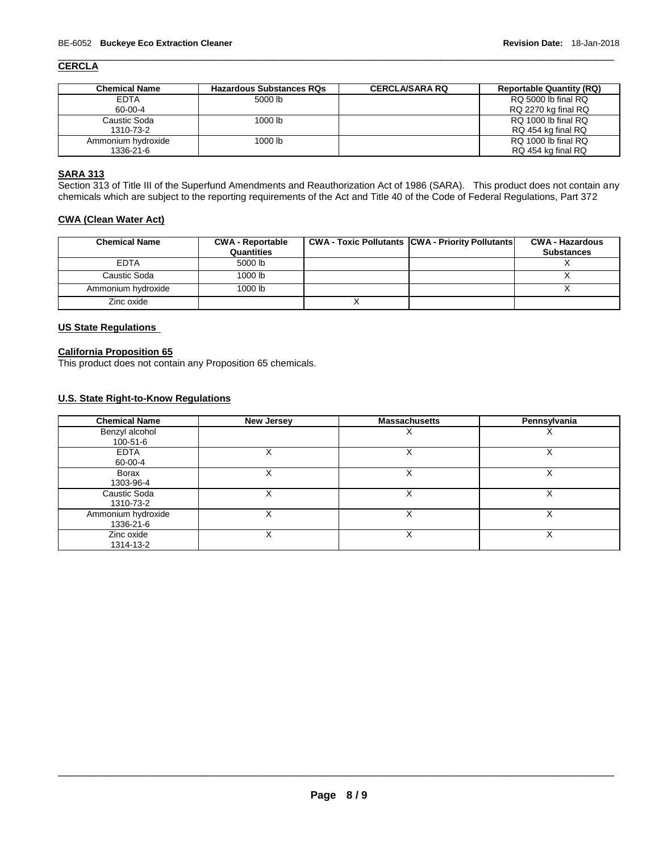#### \_\_\_\_\_\_\_\_\_\_\_\_\_\_\_\_\_\_\_\_\_\_\_\_\_\_\_\_\_\_\_\_\_\_\_\_\_\_\_\_\_\_\_\_\_\_\_\_\_\_\_\_\_\_\_\_\_\_\_\_\_\_\_\_\_\_\_\_\_\_\_\_\_\_\_\_\_\_\_\_\_\_\_\_\_\_\_\_\_\_\_\_\_ **CERCLA**

| <b>Chemical Name</b> | <b>Hazardous Substances RQs</b> | <b>CERCLA/SARA RQ</b> | <b>Reportable Quantity (RQ)</b> |
|----------------------|---------------------------------|-----------------------|---------------------------------|
| <b>EDTA</b>          | 5000 lb                         |                       | RQ 5000 lb final RQ             |
| 60-00-4              |                                 |                       | RQ 2270 kg final RQ             |
| Caustic Soda         | 1000 lb                         |                       | RQ 1000 lb final RQ             |
| 1310-73-2            |                                 |                       | RQ 454 kg final RQ              |
| Ammonium hydroxide   | 1000 lb                         |                       | RQ 1000 lb final RQ             |
| 1336-21-6            |                                 |                       | RQ 454 kg final RQ              |

## **SARA 313**

Section 313 of Title III of the Superfund Amendments and Reauthorization Act of 1986 (SARA). This product does not contain any chemicals which are subject to the reporting requirements of the Act and Title 40 of the Code of Federal Regulations, Part 372

# **CWA (Clean Water Act)**

| <b>Chemical Name</b> | <b>CWA - Reportable</b><br>Quantities | <b>CWA - Toxic Pollutants CWA - Priority Pollutants</b> | <b>CWA - Hazardous</b><br><b>Substances</b> |
|----------------------|---------------------------------------|---------------------------------------------------------|---------------------------------------------|
| <b>EDTA</b>          | 5000 lb                               |                                                         |                                             |
| Caustic Soda         | $1000$ lb                             |                                                         |                                             |
| Ammonium hydroxide   | $1000$ lb                             |                                                         |                                             |
| Zinc oxide           |                                       |                                                         |                                             |

# **US State Regulations**

# **California Proposition 65**

This product does not contain any Proposition 65 chemicals.

# **U.S. State Right-to-Know Regulations**

| <b>Chemical Name</b> | <b>New Jersey</b> | <b>Massachusetts</b> | Pennsylvania |
|----------------------|-------------------|----------------------|--------------|
| Benzyl alcohol       |                   | ⋏                    |              |
| 100-51-6             |                   |                      |              |
| <b>EDTA</b>          |                   |                      |              |
| 60-00-4              |                   |                      |              |
| Borax                |                   |                      |              |
| 1303-96-4            |                   |                      |              |
| Caustic Soda         | v<br>∧            | ⋏                    | х            |
| 1310-73-2            |                   |                      |              |
| Ammonium hydroxide   |                   |                      |              |
| 1336-21-6            |                   |                      |              |
| Zinc oxide           |                   |                      |              |
| 1314-13-2            |                   |                      |              |